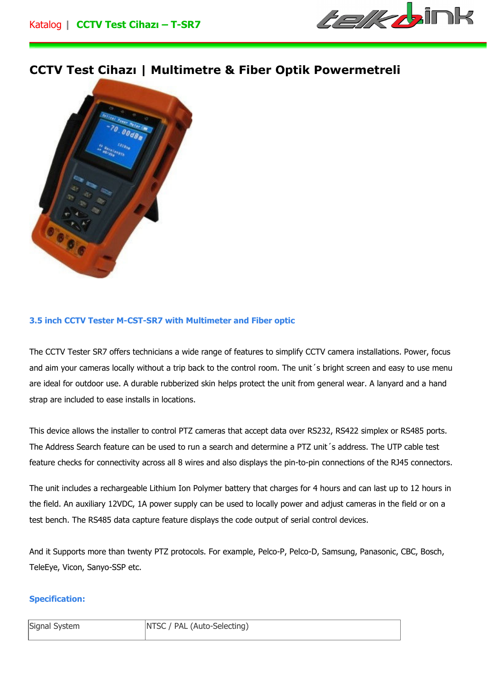

## **CCTV Test Cihazı | Multimetre & Fiber Optik Powermetreli**



## **3.5 inch CCTV Tester M-CST-SR7 with Multimeter and Fiber optic**

The CCTV Tester SR7 offers technicians a wide range of features to simplify CCTV camera installations. Power, focus and aim your cameras locally without a trip back to the control room. The unit 's bright screen and easy to use menu are ideal for outdoor use. A durable rubberized skin helps protect the unit from general wear. A lanyard and a hand strap are included to ease installs in locations.

This device allows the installer to control PTZ cameras that accept data over RS232, RS422 simplex or RS485 ports. The Address Search feature can be used to run a search and determine a PTZ unit´s address. The UTP cable test feature checks for connectivity across all 8 wires and also displays the pin-to-pin connections of the RJ45 connectors.

The unit includes a rechargeable Lithium Ion Polymer battery that charges for 4 hours and can last up to 12 hours in the field. An auxiliary 12VDC, 1A power supply can be used to locally power and adjust cameras in the field or on a test bench. The RS485 data capture feature displays the code output of serial control devices.

And it Supports more than twenty PTZ protocols. For example, Pelco-P, Pelco-D, Samsung, Panasonic, CBC, Bosch, TeleEye, Vicon, Sanyo-SSP etc.

## **Specification:**

| Signal System | NTSC / PAL (Auto-Selecting) |
|---------------|-----------------------------|
|               |                             |